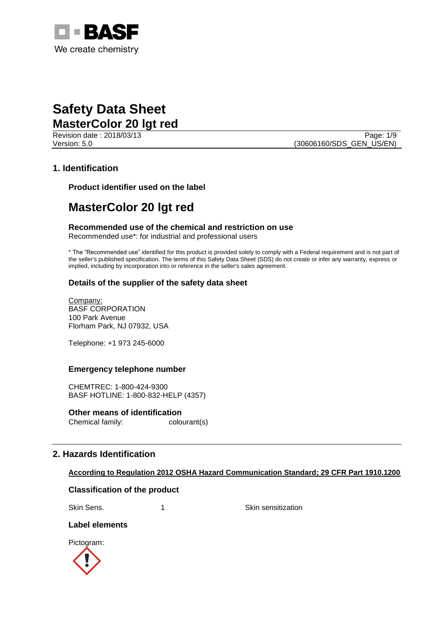

Revision date : 2018/03/13 Page: 1/9 Version: 5.0 (30606160/SDS\_GEN\_US/EN)

# **1. Identification**

**Product identifier used on the label**

# **MasterColor 20 lgt red**

**Recommended use of the chemical and restriction on use** Recommended use\*: for industrial and professional users

\* The "Recommended use" identified for this product is provided solely to comply with a Federal requirement and is not part of the seller's published specification. The terms of this Safety Data Sheet (SDS) do not create or infer any warranty, express or implied, including by incorporation into or reference in the seller's sales agreement.

# **Details of the supplier of the safety data sheet**

Company: BASF CORPORATION 100 Park Avenue Florham Park, NJ 07932, USA

Telephone: +1 973 245-6000

# **Emergency telephone number**

CHEMTREC: 1-800-424-9300 BASF HOTLINE: 1-800-832-HELP (4357)

**Other means of identification** Chemical family: colourant(s)

# **2. Hazards Identification**

## **According to Regulation 2012 OSHA Hazard Communication Standard; 29 CFR Part 1910.1200**

# **Classification of the product**

Skin Sens. 1 1 Skin sensitization

# **Label elements**

Pictogram:

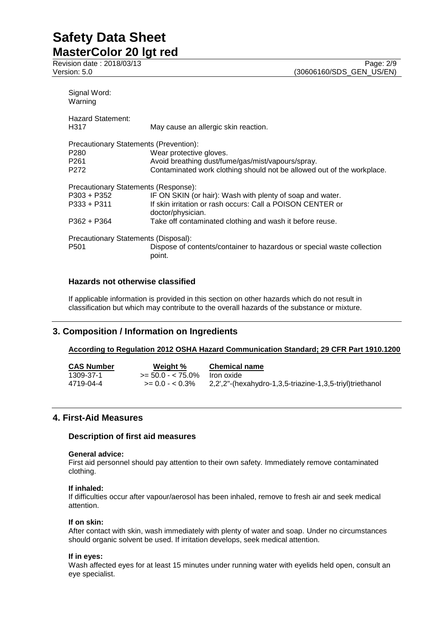Revision date : 2018/03/13<br>
Version: 5.0 (30606160/SDS\_GEN\_US/EN)

| Signal Word:<br>Warning                                                                            |                                                                                                                                                        |  |  |  |
|----------------------------------------------------------------------------------------------------|--------------------------------------------------------------------------------------------------------------------------------------------------------|--|--|--|
| <b>Hazard Statement:</b><br>H317                                                                   | May cause an allergic skin reaction.                                                                                                                   |  |  |  |
| Precautionary Statements (Prevention):<br>P <sub>280</sub><br>P <sub>261</sub><br>P <sub>272</sub> | Wear protective gloves.<br>Avoid breathing dust/fume/gas/mist/vapours/spray.<br>Contaminated work clothing should not be allowed out of the workplace. |  |  |  |
| Precautionary Statements (Response):                                                               |                                                                                                                                                        |  |  |  |
| P303 + P352<br>$P333 + P311$                                                                       | IF ON SKIN (or hair): Wash with plenty of soap and water.<br>If skin irritation or rash occurs: Call a POISON CENTER or<br>doctor/physician.           |  |  |  |
| $P362 + P364$                                                                                      | Take off contaminated clothing and wash it before reuse.                                                                                               |  |  |  |
| Precautionary Statements (Disposal):<br>P <sub>501</sub>                                           | Dispose of contents/container to hazardous or special waste collection<br>point.                                                                       |  |  |  |

# **Hazards not otherwise classified**

If applicable information is provided in this section on other hazards which do not result in classification but which may contribute to the overall hazards of the substance or mixture.

# **3. Composition / Information on Ingredients**

# **According to Regulation 2012 OSHA Hazard Communication Standard; 29 CFR Part 1910.1200**

| <b>CAS Number</b> | Weight %             | <b>Chemical name</b>                                     |
|-------------------|----------------------|----------------------------------------------------------|
| 1309-37-1         | $>= 50.0 - < 75.0\%$ | Iron oxide                                               |
| 4719-04-4         | $>= 0.0 - 0.3\%$     | 2,2',2"-(hexahydro-1,3,5-triazine-1,3,5-triyl)triethanol |

# **4. First-Aid Measures**

# **Description of first aid measures**

## **General advice:**

First aid personnel should pay attention to their own safety. Immediately remove contaminated clothing.

## **If inhaled:**

If difficulties occur after vapour/aerosol has been inhaled, remove to fresh air and seek medical attention.

## **If on skin:**

After contact with skin, wash immediately with plenty of water and soap. Under no circumstances should organic solvent be used. If irritation develops, seek medical attention.

## **If in eyes:**

Wash affected eyes for at least 15 minutes under running water with eyelids held open, consult an eye specialist.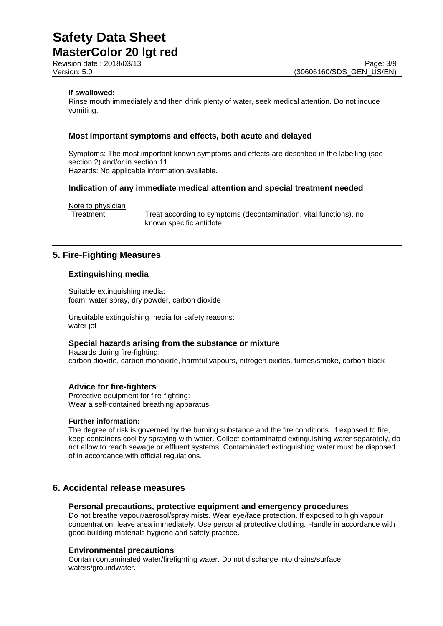Revision date : 2018/03/13

## **If swallowed:**

Rinse mouth immediately and then drink plenty of water, seek medical attention. Do not induce vomiting.

## **Most important symptoms and effects, both acute and delayed**

Symptoms: The most important known symptoms and effects are described in the labelling (see section 2) and/or in section 11. Hazards: No applicable information available.

## **Indication of any immediate medical attention and special treatment needed**

Note to physician

Treatment: Treat according to symptoms (decontamination, vital functions), no known specific antidote.

# **5. Fire-Fighting Measures**

## **Extinguishing media**

Suitable extinguishing media: foam, water spray, dry powder, carbon dioxide

Unsuitable extinguishing media for safety reasons: water jet

## **Special hazards arising from the substance or mixture**

Hazards during fire-fighting: carbon dioxide, carbon monoxide, harmful vapours, nitrogen oxides, fumes/smoke, carbon black

## **Advice for fire-fighters**

Protective equipment for fire-fighting: Wear a self-contained breathing apparatus.

#### **Further information:**

The degree of risk is governed by the burning substance and the fire conditions. If exposed to fire, keep containers cool by spraying with water. Collect contaminated extinguishing water separately, do not allow to reach sewage or effluent systems. Contaminated extinguishing water must be disposed of in accordance with official regulations.

# **6. Accidental release measures**

## **Personal precautions, protective equipment and emergency procedures**

Do not breathe vapour/aerosol/spray mists. Wear eye/face protection. If exposed to high vapour concentration, leave area immediately. Use personal protective clothing. Handle in accordance with good building materials hygiene and safety practice.

## **Environmental precautions**

Contain contaminated water/firefighting water. Do not discharge into drains/surface waters/groundwater.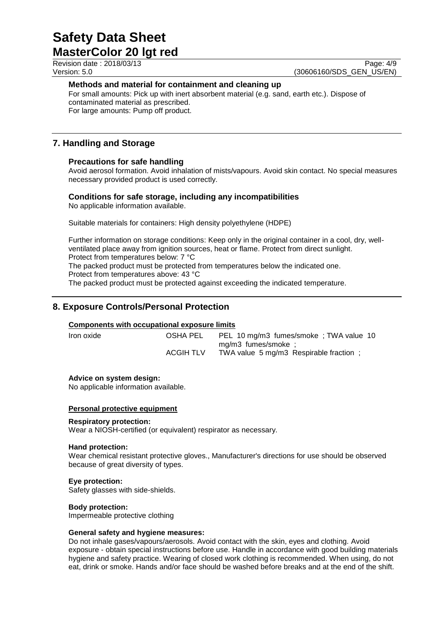Revision date : 2018/03/13

Version: 5.0 (30606160/SDS\_GEN\_US/EN)

# **Methods and material for containment and cleaning up**

For small amounts: Pick up with inert absorbent material (e.g. sand, earth etc.). Dispose of contaminated material as prescribed. For large amounts: Pump off product.

# **7. Handling and Storage**

# **Precautions for safe handling**

Avoid aerosol formation. Avoid inhalation of mists/vapours. Avoid skin contact. No special measures necessary provided product is used correctly.

# **Conditions for safe storage, including any incompatibilities**

No applicable information available.

Suitable materials for containers: High density polyethylene (HDPE)

Further information on storage conditions: Keep only in the original container in a cool, dry, wellventilated place away from ignition sources, heat or flame. Protect from direct sunlight. Protect from temperatures below: 7 °C The packed product must be protected from temperatures below the indicated one.

Protect from temperatures above: 43 °C

The packed product must be protected against exceeding the indicated temperature.

# **8. Exposure Controls/Personal Protection**

# **Components with occupational exposure limits**

Iron oxide OSHA PEL PEL 10 mg/m3 fumes/smoke ; TWA value 10 mg/m3 fumes/smoke ; ACGIH TLV TWA value 5 mg/m3 Respirable fraction;

**Advice on system design:**

No applicable information available.

# **Personal protective equipment**

# **Respiratory protection:**

Wear a NIOSH-certified (or equivalent) respirator as necessary.

## **Hand protection:**

Wear chemical resistant protective gloves., Manufacturer's directions for use should be observed because of great diversity of types.

# **Eye protection:**

Safety glasses with side-shields.

## **Body protection:**

Impermeable protective clothing

## **General safety and hygiene measures:**

Do not inhale gases/vapours/aerosols. Avoid contact with the skin, eyes and clothing. Avoid exposure - obtain special instructions before use. Handle in accordance with good building materials hygiene and safety practice. Wearing of closed work clothing is recommended. When using, do not eat, drink or smoke. Hands and/or face should be washed before breaks and at the end of the shift.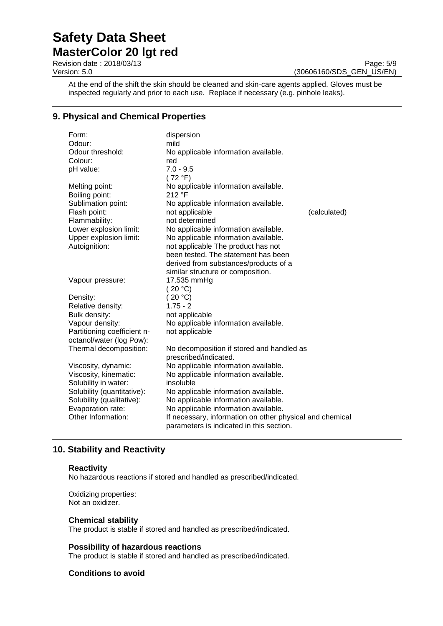Revision date : 2018/03/13<br>
Version: 5.0 (30606160/SDS\_GEN\_US/EN)

(30606160/SDS\_GEN\_US/EN)

At the end of the shift the skin should be cleaned and skin-care agents applied. Gloves must be inspected regularly and prior to each use. Replace if necessary (e.g. pinhole leaks).

# **9. Physical and Chemical Properties**

| Form:                       | dispersion                                               |              |
|-----------------------------|----------------------------------------------------------|--------------|
| Odour:                      | mild                                                     |              |
| Odour threshold:            | No applicable information available.                     |              |
| Colour:                     | red                                                      |              |
| pH value:                   | $7.0 - 9.5$                                              |              |
|                             | (72 °F)                                                  |              |
| Melting point:              | No applicable information available.                     |              |
| Boiling point:              | 212 °F                                                   |              |
| Sublimation point:          | No applicable information available.                     |              |
| Flash point:                | not applicable                                           | (calculated) |
| Flammability:               | not determined                                           |              |
| Lower explosion limit:      | No applicable information available.                     |              |
| Upper explosion limit:      | No applicable information available.                     |              |
| Autoignition:               | not applicable The product has not                       |              |
|                             | been tested. The statement has been                      |              |
|                             | derived from substances/products of a                    |              |
|                             | similar structure or composition.                        |              |
| Vapour pressure:            | 17.535 mmHg                                              |              |
|                             | (20 °C)                                                  |              |
| Density:                    | 20 °C                                                    |              |
| Relative density:           | $1.75 - 2$                                               |              |
| Bulk density:               | not applicable                                           |              |
| Vapour density:             | No applicable information available.                     |              |
| Partitioning coefficient n- | not applicable                                           |              |
| octanol/water (log Pow):    |                                                          |              |
| Thermal decomposition:      | No decomposition if stored and handled as                |              |
|                             | prescribed/indicated.                                    |              |
| Viscosity, dynamic:         | No applicable information available.                     |              |
| Viscosity, kinematic:       | No applicable information available.                     |              |
| Solubility in water:        | insoluble                                                |              |
| Solubility (quantitative):  | No applicable information available.                     |              |
| Solubility (qualitative):   | No applicable information available.                     |              |
| Evaporation rate:           | No applicable information available.                     |              |
| Other Information:          | If necessary, information on other physical and chemical |              |
|                             | parameters is indicated in this section.                 |              |
|                             |                                                          |              |

# **10. Stability and Reactivity**

## **Reactivity**

No hazardous reactions if stored and handled as prescribed/indicated.

Oxidizing properties: Not an oxidizer.

## **Chemical stability**

The product is stable if stored and handled as prescribed/indicated.

# **Possibility of hazardous reactions**

The product is stable if stored and handled as prescribed/indicated.

# **Conditions to avoid**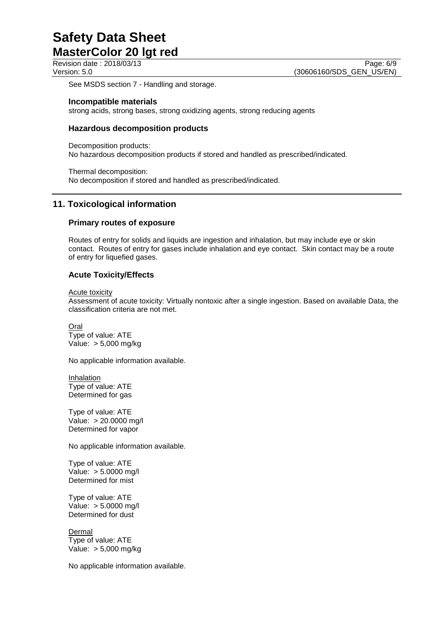See MSDS section 7 - Handling and storage.

## **Incompatible materials**

strong acids, strong bases, strong oxidizing agents, strong reducing agents

# **Hazardous decomposition products**

Decomposition products: No hazardous decomposition products if stored and handled as prescribed/indicated.

Thermal decomposition: No decomposition if stored and handled as prescribed/indicated.

# **11. Toxicological information**

## **Primary routes of exposure**

Routes of entry for solids and liquids are ingestion and inhalation, but may include eye or skin contact. Routes of entry for gases include inhalation and eye contact. Skin contact may be a route of entry for liquefied gases.

# **Acute Toxicity/Effects**

Acute toxicity

Assessment of acute toxicity: Virtually nontoxic after a single ingestion. Based on available Data, the classification criteria are not met.

Oral Type of value: ATE Value: > 5,000 mg/kg

No applicable information available.

Inhalation Type of value: ATE Determined for gas

Type of value: ATE Value: > 20.0000 mg/l Determined for vapor

No applicable information available.

Type of value: ATE Value: > 5.0000 mg/l Determined for mist

Type of value: ATE Value: > 5.0000 mg/l Determined for dust

Dermal Type of value: ATE Value: > 5,000 mg/kg

No applicable information available.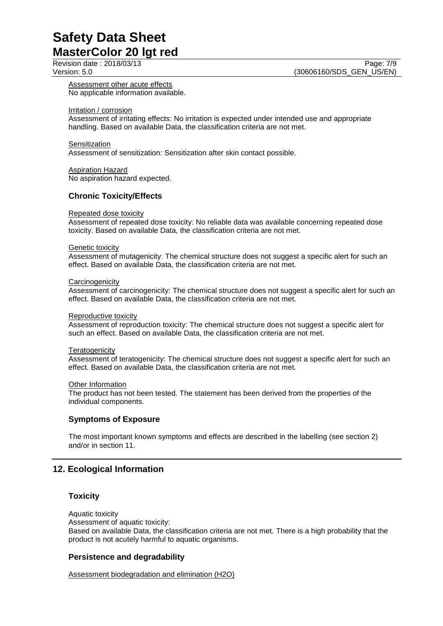Assessment other acute effects No applicable information available.

Irritation / corrosion

Assessment of irritating effects: No irritation is expected under intended use and appropriate handling. Based on available Data, the classification criteria are not met.

**Sensitization** Assessment of sensitization: Sensitization after skin contact possible.

**Aspiration Hazard** No aspiration hazard expected.

# **Chronic Toxicity/Effects**

## Repeated dose toxicity

Assessment of repeated dose toxicity: No reliable data was available concerning repeated dose toxicity. Based on available Data, the classification criteria are not met.

#### **Genetic toxicity**

Assessment of mutagenicity: The chemical structure does not suggest a specific alert for such an effect. Based on available Data, the classification criteria are not met.

#### **Carcinogenicity**

Assessment of carcinogenicity: The chemical structure does not suggest a specific alert for such an effect. Based on available Data, the classification criteria are not met.

#### Reproductive toxicity

Assessment of reproduction toxicity: The chemical structure does not suggest a specific alert for such an effect. Based on available Data, the classification criteria are not met.

#### **Teratogenicity**

Assessment of teratogenicity: The chemical structure does not suggest a specific alert for such an effect. Based on available Data, the classification criteria are not met.

#### **Other Information**

The product has not been tested. The statement has been derived from the properties of the individual components.

## **Symptoms of Exposure**

The most important known symptoms and effects are described in the labelling (see section 2) and/or in section 11.

# **12. Ecological Information**

# **Toxicity**

Aquatic toxicity

Assessment of aquatic toxicity:

Based on available Data, the classification criteria are not met. There is a high probability that the product is not acutely harmful to aquatic organisms.

# **Persistence and degradability**

Assessment biodegradation and elimination (H2O)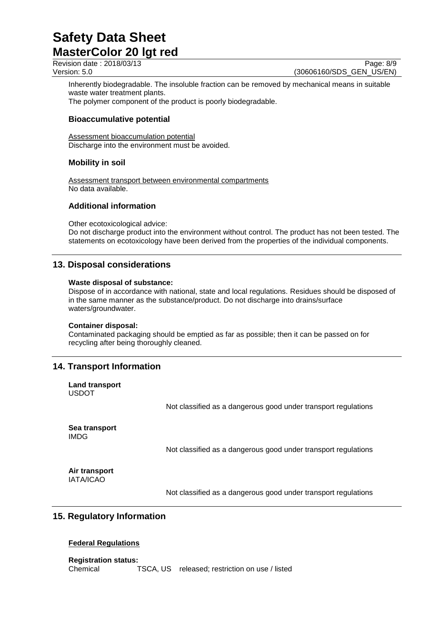Revision date : 2018/03/13 Page: 8/9

Version: 5.0 (30606160/SDS\_GEN\_US/EN)

Inherently biodegradable. The insoluble fraction can be removed by mechanical means in suitable waste water treatment plants.

The polymer component of the product is poorly biodegradable.

# **Bioaccumulative potential**

Assessment bioaccumulation potential Discharge into the environment must be avoided.

# **Mobility in soil**

Assessment transport between environmental compartments No data available.

# **Additional information**

Other ecotoxicological advice: Do not discharge product into the environment without control. The product has not been tested. The statements on ecotoxicology have been derived from the properties of the individual components.

# **13. Disposal considerations**

## **Waste disposal of substance:**

Dispose of in accordance with national, state and local regulations. Residues should be disposed of in the same manner as the substance/product. Do not discharge into drains/surface waters/groundwater.

## **Container disposal:**

Contaminated packaging should be emptied as far as possible; then it can be passed on for recycling after being thoroughly cleaned.

# **14. Transport Information**

**Land transport** USDOT

Not classified as a dangerous good under transport regulations

**Sea transport** IMDG

Not classified as a dangerous good under transport regulations

**Air transport** IATA/ICAO

Not classified as a dangerous good under transport regulations

# **15. Regulatory Information**

# **Federal Regulations**

**Registration status:** Chemical TSCA, US released; restriction on use / listed